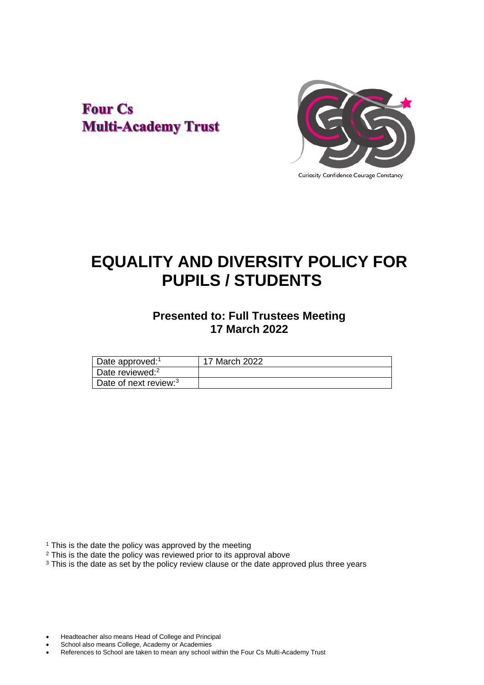## **Four Cs Multi-Academy Trust**



# **EQUALITY AND DIVERSITY POLICY FOR PUPILS / STUDENTS**

## **Presented to: Full Trustees Meeting 17 March 2022**

| Date approved: <sup>1</sup>       | 17 March 2022 |
|-----------------------------------|---------------|
| Date reviewed: <sup>2</sup>       |               |
| Date of next review: <sup>3</sup> |               |

<sup>1</sup> This is the date the policy was approved by the meeting

<sup>2</sup> This is the date the policy was reviewed prior to its approval above

<sup>3</sup> This is the date as set by the policy review clause or the date approved plus three years

- Headteacher also means Head of College and Principal
- School also means College, Academy or Academies
- References to School are taken to mean any school within the Four Cs Multi-Academy Trust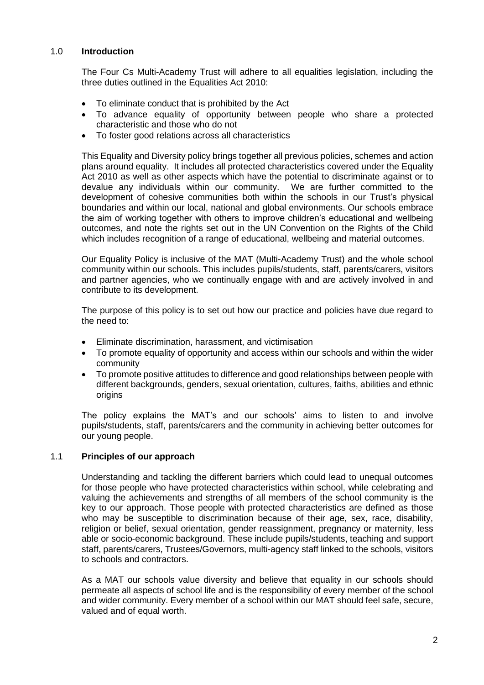## 1.0 **Introduction**

The Four Cs Multi-Academy Trust will adhere to all equalities legislation, including the three duties outlined in the Equalities Act 2010:

- To eliminate conduct that is prohibited by the Act
- To advance equality of opportunity between people who share a protected characteristic and those who do not
- To foster good relations across all characteristics

This Equality and Diversity policy brings together all previous policies, schemes and action plans around equality. It includes all protected characteristics covered under the Equality Act 2010 as well as other aspects which have the potential to discriminate against or to devalue any individuals within our community. We are further committed to the development of cohesive communities both within the schools in our Trust's physical boundaries and within our local, national and global environments. Our schools embrace the aim of working together with others to improve children's educational and wellbeing outcomes, and note the rights set out in the UN Convention on the Rights of the Child which includes recognition of a range of educational, wellbeing and material outcomes.

Our Equality Policy is inclusive of the MAT (Multi-Academy Trust) and the whole school community within our schools. This includes pupils/students, staff, parents/carers, visitors and partner agencies, who we continually engage with and are actively involved in and contribute to its development.

The purpose of this policy is to set out how our practice and policies have due regard to the need to:

- Eliminate discrimination, harassment, and victimisation
- To promote equality of opportunity and access within our schools and within the wider community
- To promote positive attitudes to difference and good relationships between people with different backgrounds, genders, sexual orientation, cultures, faiths, abilities and ethnic origins

The policy explains the MAT's and our schools' aims to listen to and involve pupils/students, staff, parents/carers and the community in achieving better outcomes for our young people.

## 1.1 **Principles of our approach**

Understanding and tackling the different barriers which could lead to unequal outcomes for those people who have protected characteristics within school, while celebrating and valuing the achievements and strengths of all members of the school community is the key to our approach. Those people with protected characteristics are defined as those who may be susceptible to discrimination because of their age, sex, race, disability, religion or belief, sexual orientation, gender reassignment, pregnancy or maternity, less able or socio-economic background. These include pupils/students, teaching and support staff, parents/carers, Trustees/Governors, multi-agency staff linked to the schools, visitors to schools and contractors.

As a MAT our schools value diversity and believe that equality in our schools should permeate all aspects of school life and is the responsibility of every member of the school and wider community. Every member of a school within our MAT should feel safe, secure, valued and of equal worth.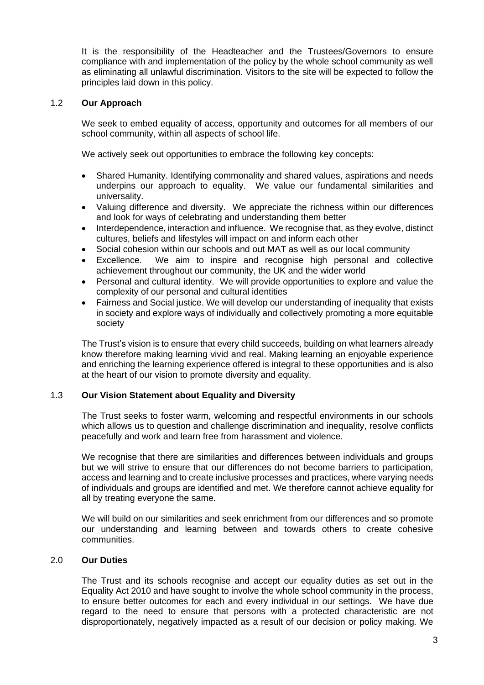It is the responsibility of the Headteacher and the Trustees/Governors to ensure compliance with and implementation of the policy by the whole school community as well as eliminating all unlawful discrimination. Visitors to the site will be expected to follow the principles laid down in this policy.

## 1.2 **Our Approach**

We seek to embed equality of access, opportunity and outcomes for all members of our school community, within all aspects of school life.

We actively seek out opportunities to embrace the following key concepts:

- Shared Humanity. Identifying commonality and shared values, aspirations and needs underpins our approach to equality. We value our fundamental similarities and universality.
- Valuing difference and diversity. We appreciate the richness within our differences and look for ways of celebrating and understanding them better
- Interdependence, interaction and influence. We recognise that, as they evolve, distinct cultures, beliefs and lifestyles will impact on and inform each other
- Social cohesion within our schools and out MAT as well as our local community
- Excellence. We aim to inspire and recognise high personal and collective achievement throughout our community, the UK and the wider world
- Personal and cultural identity. We will provide opportunities to explore and value the complexity of our personal and cultural identities
- Fairness and Social justice. We will develop our understanding of inequality that exists in society and explore ways of individually and collectively promoting a more equitable society

The Trust's vision is to ensure that every child succeeds, building on what learners already know therefore making learning vivid and real. Making learning an enjoyable experience and enriching the learning experience offered is integral to these opportunities and is also at the heart of our vision to promote diversity and equality.

## 1.3 **Our Vision Statement about Equality and Diversity**

The Trust seeks to foster warm, welcoming and respectful environments in our schools which allows us to question and challenge discrimination and inequality, resolve conflicts peacefully and work and learn free from harassment and violence.

We recognise that there are similarities and differences between individuals and groups but we will strive to ensure that our differences do not become barriers to participation, access and learning and to create inclusive processes and practices, where varying needs of individuals and groups are identified and met. We therefore cannot achieve equality for all by treating everyone the same.

We will build on our similarities and seek enrichment from our differences and so promote our understanding and learning between and towards others to create cohesive communities.

## 2.0 **Our Duties**

The Trust and its schools recognise and accept our equality duties as set out in the Equality Act 2010 and have sought to involve the whole school community in the process, to ensure better outcomes for each and every individual in our settings. We have due regard to the need to ensure that persons with a protected characteristic are not disproportionately, negatively impacted as a result of our decision or policy making. We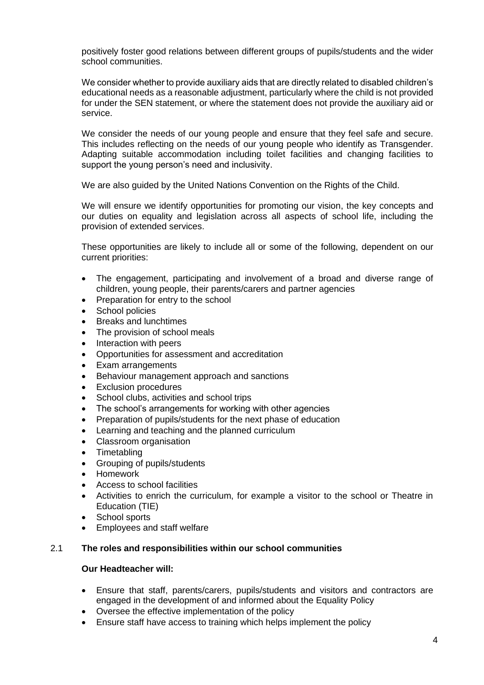positively foster good relations between different groups of pupils/students and the wider school communities.

We consider whether to provide auxiliary aids that are directly related to disabled children's educational needs as a reasonable adjustment, particularly where the child is not provided for under the SEN statement, or where the statement does not provide the auxiliary aid or service.

We consider the needs of our young people and ensure that they feel safe and secure. This includes reflecting on the needs of our young people who identify as Transgender. Adapting suitable accommodation including toilet facilities and changing facilities to support the young person's need and inclusivity.

We are also guided by the United Nations Convention on the Rights of the Child.

We will ensure we identify opportunities for promoting our vision, the key concepts and our duties on equality and legislation across all aspects of school life, including the provision of extended services.

These opportunities are likely to include all or some of the following, dependent on our current priorities:

- The engagement, participating and involvement of a broad and diverse range of children, young people, their parents/carers and partner agencies
- Preparation for entry to the school
- School policies
- Breaks and lunchtimes
- The provision of school meals
- Interaction with peers
- Opportunities for assessment and accreditation
- Exam arrangements
- Behaviour management approach and sanctions
- **Exclusion procedures**
- School clubs, activities and school trips
- The school's arrangements for working with other agencies
- Preparation of pupils/students for the next phase of education
- Learning and teaching and the planned curriculum
- Classroom organisation
- **Timetabling**
- Grouping of pupils/students
- Homework
- Access to school facilities
- Activities to enrich the curriculum, for example a visitor to the school or Theatre in Education (TIE)
- School sports
- Employees and staff welfare

## 2.1 **The roles and responsibilities within our school communities**

## **Our Headteacher will:**

- Ensure that staff, parents/carers, pupils/students and visitors and contractors are engaged in the development of and informed about the Equality Policy
- Oversee the effective implementation of the policy
- Ensure staff have access to training which helps implement the policy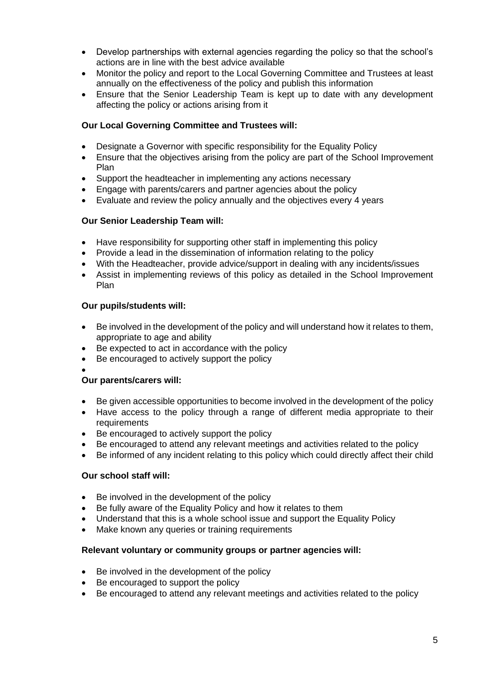- Develop partnerships with external agencies regarding the policy so that the school's actions are in line with the best advice available
- Monitor the policy and report to the Local Governing Committee and Trustees at least annually on the effectiveness of the policy and publish this information
- Ensure that the Senior Leadership Team is kept up to date with any development affecting the policy or actions arising from it

## **Our Local Governing Committee and Trustees will:**

- Designate a Governor with specific responsibility for the Equality Policy
- Ensure that the objectives arising from the policy are part of the School Improvement Plan
- Support the headteacher in implementing any actions necessary
- Engage with parents/carers and partner agencies about the policy
- Evaluate and review the policy annually and the objectives every 4 years

## **Our Senior Leadership Team will:**

- Have responsibility for supporting other staff in implementing this policy
- Provide a lead in the dissemination of information relating to the policy
- With the Headteacher, provide advice/support in dealing with any incidents/issues
- Assist in implementing reviews of this policy as detailed in the School Improvement Plan

## **Our pupils/students will:**

- Be involved in the development of the policy and will understand how it relates to them, appropriate to age and ability
- Be expected to act in accordance with the policy
- Be encouraged to actively support the policy

#### • **Our parents/carers will:**

- Be given accessible opportunities to become involved in the development of the policy
- Have access to the policy through a range of different media appropriate to their requirements
- Be encouraged to actively support the policy
- Be encouraged to attend any relevant meetings and activities related to the policy
- Be informed of any incident relating to this policy which could directly affect their child

## **Our school staff will:**

- Be involved in the development of the policy
- Be fully aware of the Equality Policy and how it relates to them
- Understand that this is a whole school issue and support the Equality Policy
- Make known any queries or training requirements

### **Relevant voluntary or community groups or partner agencies will:**

- Be involved in the development of the policy
- Be encouraged to support the policy
- Be encouraged to attend any relevant meetings and activities related to the policy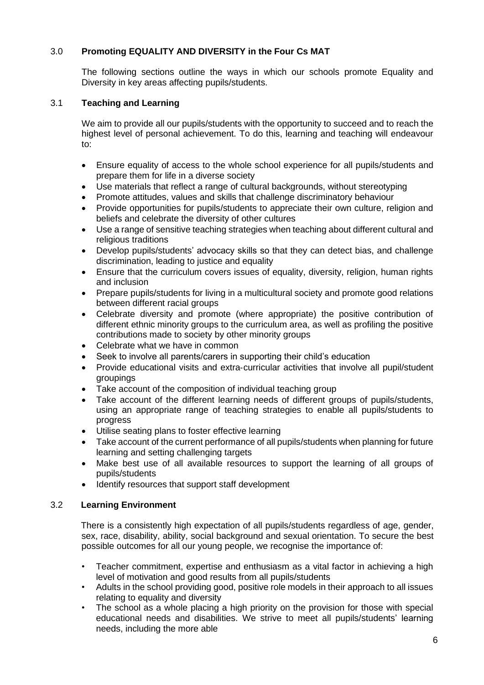## 3.0 **Promoting EQUALITY AND DIVERSITY in the Four Cs MAT**

The following sections outline the ways in which our schools promote Equality and Diversity in key areas affecting pupils/students.

## 3.1 **Teaching and Learning**

We aim to provide all our pupils/students with the opportunity to succeed and to reach the highest level of personal achievement. To do this, learning and teaching will endeavour to:

- Ensure equality of access to the whole school experience for all pupils/students and prepare them for life in a diverse society
- Use materials that reflect a range of cultural backgrounds, without stereotyping
- Promote attitudes, values and skills that challenge discriminatory behaviour
- Provide opportunities for pupils/students to appreciate their own culture, religion and beliefs and celebrate the diversity of other cultures
- Use a range of sensitive teaching strategies when teaching about different cultural and religious traditions
- Develop pupils/students' advocacy skills so that they can detect bias, and challenge discrimination, leading to justice and equality
- Ensure that the curriculum covers issues of equality, diversity, religion, human rights and inclusion
- Prepare pupils/students for living in a multicultural society and promote good relations between different racial groups
- Celebrate diversity and promote (where appropriate) the positive contribution of different ethnic minority groups to the curriculum area, as well as profiling the positive contributions made to society by other minority groups
- Celebrate what we have in common
- Seek to involve all parents/carers in supporting their child's education
- Provide educational visits and extra‐curricular activities that involve all pupil/student groupings
- Take account of the composition of individual teaching group
- Take account of the different learning needs of different groups of pupils/students, using an appropriate range of teaching strategies to enable all pupils/students to progress
- Utilise seating plans to foster effective learning
- Take account of the current performance of all pupils/students when planning for future learning and setting challenging targets
- Make best use of all available resources to support the learning of all groups of pupils/students
- Identify resources that support staff development

## 3.2 **Learning Environment**

There is a consistently high expectation of all pupils/students regardless of age, gender, sex, race, disability, ability, social background and sexual orientation. To secure the best possible outcomes for all our young people, we recognise the importance of:

- Teacher commitment, expertise and enthusiasm as a vital factor in achieving a high level of motivation and good results from all pupils/students
- Adults in the school providing good, positive role models in their approach to all issues relating to equality and diversity
- The school as a whole placing a high priority on the provision for those with special educational needs and disabilities. We strive to meet all pupils/students' learning needs, including the more able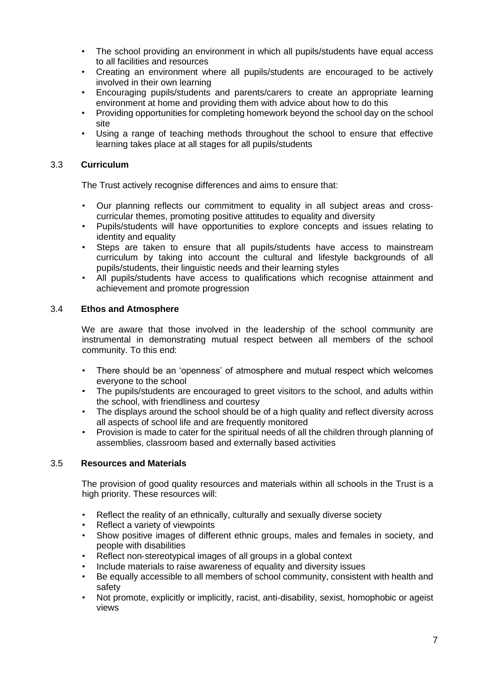- The school providing an environment in which all pupils/students have equal access to all facilities and resources
- Creating an environment where all pupils/students are encouraged to be actively involved in their own learning
- Encouraging pupils/students and parents/carers to create an appropriate learning environment at home and providing them with advice about how to do this
- Providing opportunities for completing homework beyond the school day on the school site
- Using a range of teaching methods throughout the school to ensure that effective learning takes place at all stages for all pupils/students

## 3.3 **Curriculum**

The Trust actively recognise differences and aims to ensure that:

- Our planning reflects our commitment to equality in all subject areas and cross‐ curricular themes, promoting positive attitudes to equality and diversity
- Pupils/students will have opportunities to explore concepts and issues relating to identity and equality
- Steps are taken to ensure that all pupils/students have access to mainstream curriculum by taking into account the cultural and lifestyle backgrounds of all pupils/students, their linguistic needs and their learning styles
- All pupils/students have access to qualifications which recognise attainment and achievement and promote progression

## 3.4 **Ethos and Atmosphere**

We are aware that those involved in the leadership of the school community are instrumental in demonstrating mutual respect between all members of the school community. To this end:

- There should be an 'openness' of atmosphere and mutual respect which welcomes everyone to the school
- The pupils/students are encouraged to greet visitors to the school, and adults within the school, with friendliness and courtesy
- The displays around the school should be of a high quality and reflect diversity across all aspects of school life and are frequently monitored
- Provision is made to cater for the spiritual needs of all the children through planning of assemblies, classroom based and externally based activities

## 3.5 **Resources and Materials**

The provision of good quality resources and materials within all schools in the Trust is a high priority. These resources will:

- Reflect the reality of an ethnically, culturally and sexually diverse society
- Reflect a variety of viewpoints
- Show positive images of different ethnic groups, males and females in society, and people with disabilities
- Reflect non-stereotypical images of all groups in a global context
- Include materials to raise awareness of equality and diversity issues
- Be equally accessible to all members of school community, consistent with health and safety
- Not promote, explicitly or implicitly, racist, anti‐disability, sexist, homophobic or ageist views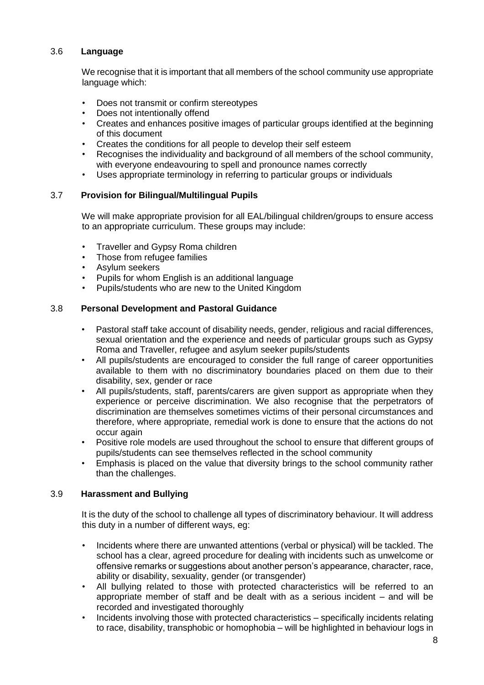## 3.6 **Language**

We recognise that it is important that all members of the school community use appropriate language which:

- Does not transmit or confirm stereotypes
- Does not intentionally offend
- Creates and enhances positive images of particular groups identified at the beginning of this document
- Creates the conditions for all people to develop their self esteem
- Recognises the individuality and background of all members of the school community, with everyone endeavouring to spell and pronounce names correctly
- Uses appropriate terminology in referring to particular groups or individuals

## 3.7 **Provision for Bilingual/Multilingual Pupils**

We will make appropriate provision for all EAL/bilingual children/groups to ensure access to an appropriate curriculum. These groups may include:

- Traveller and Gypsy Roma children
- Those from refugee families
- Asylum seekers
- Pupils for whom English is an additional language
- Pupils/students who are new to the United Kingdom

## 3.8 **Personal Development and Pastoral Guidance**

- Pastoral staff take account of disability needs, gender, religious and racial differences, sexual orientation and the experience and needs of particular groups such as Gypsy Roma and Traveller, refugee and asylum seeker pupils/students
- All pupils/students are encouraged to consider the full range of career opportunities available to them with no discriminatory boundaries placed on them due to their disability, sex, gender or race
- All pupils/students, staff, parents/carers are given support as appropriate when they experience or perceive discrimination. We also recognise that the perpetrators of discrimination are themselves sometimes victims of their personal circumstances and therefore, where appropriate, remedial work is done to ensure that the actions do not occur again
- Positive role models are used throughout the school to ensure that different groups of pupils/students can see themselves reflected in the school community
- Emphasis is placed on the value that diversity brings to the school community rather than the challenges.

## 3.9 **Harassment and Bullying**

It is the duty of the school to challenge all types of discriminatory behaviour. It will address this duty in a number of different ways, eg:

- Incidents where there are unwanted attentions (verbal or physical) will be tackled. The school has a clear, agreed procedure for dealing with incidents such as unwelcome or offensive remarks or suggestions about another person's appearance, character, race, ability or disability, sexuality, gender (or transgender)
- All bullying related to those with protected characteristics will be referred to an appropriate member of staff and be dealt with as a serious incident – and will be recorded and investigated thoroughly
- Incidents involving those with protected characteristics specifically incidents relating to race, disability, transphobic or homophobia – will be highlighted in behaviour logs in